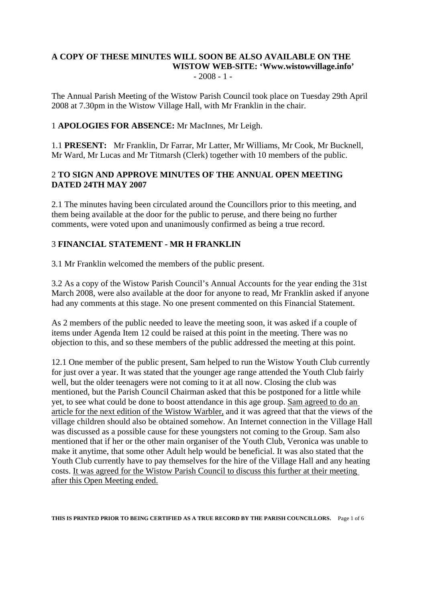#### **A COPY OF THESE MINUTES WILL SOON BE ALSO AVAILABLE ON THE WISTOW WEB-SITE: 'Www.wistowvillage.info'**   $-2008 - 1 -$

The Annual Parish Meeting of the Wistow Parish Council took place on Tuesday 29th April 2008 at 7.30pm in the Wistow Village Hall, with Mr Franklin in the chair.

## 1 **APOLOGIES FOR ABSENCE:** Mr MacInnes, Mr Leigh.

1.1 **PRESENT:** Mr Franklin, Dr Farrar, Mr Latter, Mr Williams, Mr Cook, Mr Bucknell, Mr Ward, Mr Lucas and Mr Titmarsh (Clerk) together with 10 members of the public.

## 2 **TO SIGN AND APPROVE MINUTES OF THE ANNUAL OPEN MEETING DATED 24TH MAY 2007**

2.1 The minutes having been circulated around the Councillors prior to this meeting, and them being available at the door for the public to peruse, and there being no further comments, were voted upon and unanimously confirmed as being a true record.

## 3 **FINANCIAL STATEMENT - MR H FRANKLIN**

3.1 Mr Franklin welcomed the members of the public present.

3.2 As a copy of the Wistow Parish Council's Annual Accounts for the year ending the 31st March 2008, were also available at the door for anyone to read, Mr Franklin asked if anyone had any comments at this stage. No one present commented on this Financial Statement.

As 2 members of the public needed to leave the meeting soon, it was asked if a couple of items under Agenda Item 12 could be raised at this point in the meeting. There was no objection to this, and so these members of the public addressed the meeting at this point.

12.1 One member of the public present, Sam helped to run the Wistow Youth Club currently for just over a year. It was stated that the younger age range attended the Youth Club fairly well, but the older teenagers were not coming to it at all now. Closing the club was mentioned, but the Parish Council Chairman asked that this be postponed for a little while yet, to see what could be done to boost attendance in this age group. Sam agreed to do an article for the next edition of the Wistow Warbler, and it was agreed that that the views of the village children should also be obtained somehow. An Internet connection in the Village Hall was discussed as a possible cause for these youngsters not coming to the Group. Sam also mentioned that if her or the other main organiser of the Youth Club, Veronica was unable to make it anytime, that some other Adult help would be beneficial. It was also stated that the Youth Club currently have to pay themselves for the hire of the Village Hall and any heating costs. It was agreed for the Wistow Parish Council to discuss this further at their meeting after this Open Meeting ended.

**THIS IS PRINTED PRIOR TO BEING CERTIFIED AS A TRUE RECORD BY THE PARISH COUNCILLORS.** Page 1 of 6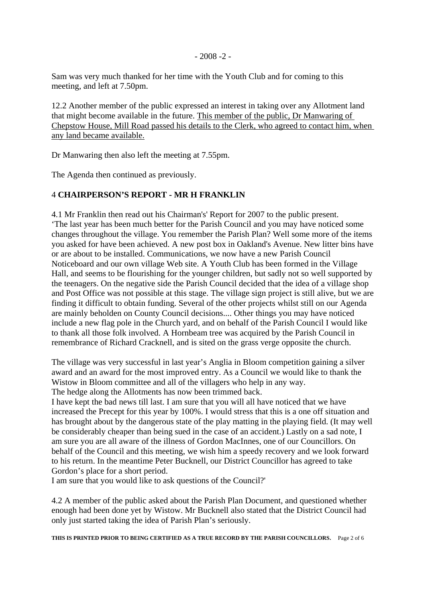## $-2008 - 2$

Sam was very much thanked for her time with the Youth Club and for coming to this meeting, and left at 7.50pm.

12.2 Another member of the public expressed an interest in taking over any Allotment land that might become available in the future. This member of the public, Dr Manwaring of Chepstow House, Mill Road passed his details to the Clerk, who agreed to contact him, when any land became available.

Dr Manwaring then also left the meeting at 7.55pm.

The Agenda then continued as previously.

# 4 **CHAIRPERSON'S REPORT - MR H FRANKLIN**

4.1 Mr Franklin then read out his Chairman's' Report for 2007 to the public present. 'The last year has been much better for the Parish Council and you may have noticed some changes throughout the village. You remember the Parish Plan? Well some more of the items you asked for have been achieved. A new post box in Oakland's Avenue. New litter bins have or are about to be installed. Communications, we now have a new Parish Council Noticeboard and our own village Web site. A Youth Club has been formed in the Village Hall, and seems to be flourishing for the younger children, but sadly not so well supported by the teenagers. On the negative side the Parish Council decided that the idea of a village shop and Post Office was not possible at this stage. The village sign project is still alive, but we are finding it difficult to obtain funding. Several of the other projects whilst still on our Agenda are mainly beholden on County Council decisions.... Other things you may have noticed include a new flag pole in the Church yard, and on behalf of the Parish Council I would like to thank all those folk involved. A Hornbeam tree was acquired by the Parish Council in remembrance of Richard Cracknell, and is sited on the grass verge opposite the church.

The village was very successful in last year's Anglia in Bloom competition gaining a silver award and an award for the most improved entry. As a Council we would like to thank the Wistow in Bloom committee and all of the villagers who help in any way. The hedge along the Allotments has now been trimmed back.

I have kept the bad news till last. I am sure that you will all have noticed that we have increased the Precept for this year by 100%. I would stress that this is a one off situation and has brought about by the dangerous state of the play matting in the playing field. (It may well be considerably cheaper than being sued in the case of an accident.) Lastly on a sad note, I am sure you are all aware of the illness of Gordon MacInnes, one of our Councillors. On behalf of the Council and this meeting, we wish him a speedy recovery and we look forward to his return. In the meantime Peter Bucknell, our District Councillor has agreed to take Gordon's place for a short period.

I am sure that you would like to ask questions of the Council?'

4.2 A member of the public asked about the Parish Plan Document, and questioned whether enough had been done yet by Wistow. Mr Bucknell also stated that the District Council had only just started taking the idea of Parish Plan's seriously.

**THIS IS PRINTED PRIOR TO BEING CERTIFIED AS A TRUE RECORD BY THE PARISH COUNCILLORS.** Page 2 of 6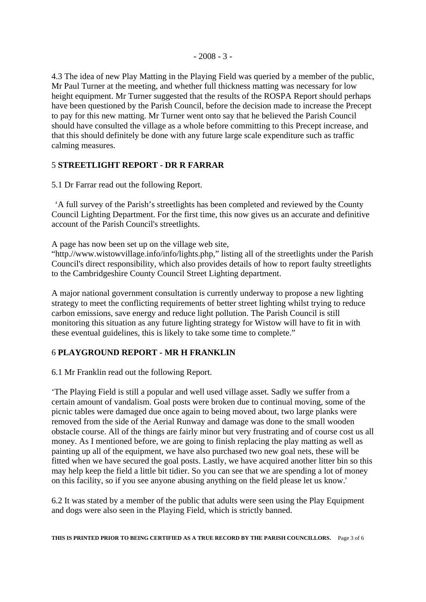4.3 The idea of new Play Matting in the Playing Field was queried by a member of the public, Mr Paul Turner at the meeting, and whether full thickness matting was necessary for low height equipment. Mr Turner suggested that the results of the ROSPA Report should perhaps have been questioned by the Parish Council, before the decision made to increase the Precept to pay for this new matting. Mr Turner went onto say that he believed the Parish Council should have consulted the village as a whole before committing to this Precept increase, and that this should definitely be done with any future large scale expenditure such as traffic calming measures.

## 5 **STREETLIGHT REPORT - DR R FARRAR**

5.1 Dr Farrar read out the following Report.

 'A full survey of the Parish's streetlights has been completed and reviewed by the County Council Lighting Department. For the first time, this now gives us an accurate and definitive account of the Parish Council's streetlights.

A page has now been set up on the village web site,

"http.//www.wistowvillage.info/info/lights.php," listing all of the streetlights under the Parish Council's direct responsibility, which also provides details of how to report faulty streetlights to the Cambridgeshire County Council Street Lighting department.

A major national government consultation is currently underway to propose a new lighting strategy to meet the conflicting requirements of better street lighting whilst trying to reduce carbon emissions, save energy and reduce light pollution. The Parish Council is still monitoring this situation as any future lighting strategy for Wistow will have to fit in with these eventual guidelines, this is likely to take some time to complete."

## 6 **PLAYGROUND REPORT - MR H FRANKLIN**

6.1 Mr Franklin read out the following Report.

'The Playing Field is still a popular and well used village asset. Sadly we suffer from a certain amount of vandalism. Goal posts were broken due to continual moving, some of the picnic tables were damaged due once again to being moved about, two large planks were removed from the side of the Aerial Runway and damage was done to the small wooden obstacle course. All of the things are fairly minor but very frustrating and of course cost us all money. As I mentioned before, we are going to finish replacing the play matting as well as painting up all of the equipment, we have also purchased two new goal nets, these will be fitted when we have secured the goal posts. Lastly, we have acquired another litter bin so this may help keep the field a little bit tidier. So you can see that we are spending a lot of money on this facility, so if you see anyone abusing anything on the field please let us know.'

6.2 It was stated by a member of the public that adults were seen using the Play Equipment and dogs were also seen in the Playing Field, which is strictly banned.

**THIS IS PRINTED PRIOR TO BEING CERTIFIED AS A TRUE RECORD BY THE PARISH COUNCILLORS.** Page 3 of 6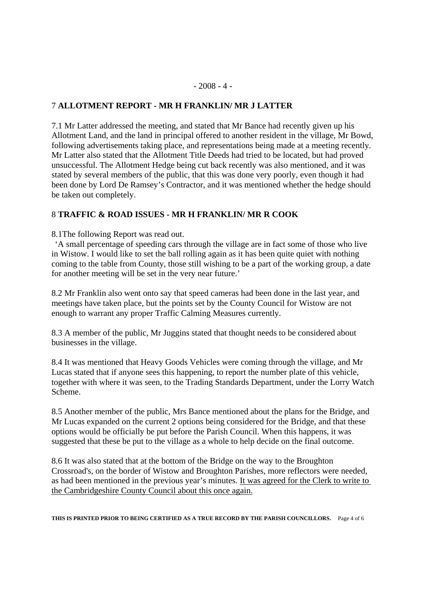#### $-2008 - 4 -$

## 7 **ALLOTMENT REPORT - MR H FRANKLIN/ MR J LATTER**

7.1 Mr Latter addressed the meeting, and stated that Mr Bance had recently given up his Allotment Land, and the land in principal offered to another resident in the village, Mr Bowd, following advertisements taking place, and representations being made at a meeting recently. Mr Latter also stated that the Allotment Title Deeds had tried to be located, but had proved unsuccessful. The Allotment Hedge being cut back recently was also mentioned, and it was stated by several members of the public, that this was done very poorly, even though it had been done by Lord De Ramsey's Contractor, and it was mentioned whether the hedge should be taken out completely.

## 8 **TRAFFIC & ROAD ISSUES - MR H FRANKLIN/ MR R COOK**

8.1The following Report was read out.

 'A small percentage of speeding cars through the village are in fact some of those who live in Wistow. I would like to set the ball rolling again as it has been quite quiet with nothing coming to the table from County, those still wishing to be a part of the working group, a date for another meeting will be set in the very near future.'

8.2 Mr Franklin also went onto say that speed cameras had been done in the last year, and meetings have taken place, but the points set by the County Council for Wistow are not enough to warrant any proper Traffic Calming Measures currently.

8.3 A member of the public, Mr Juggins stated that thought needs to be considered about businesses in the village.

8.4 It was mentioned that Heavy Goods Vehicles were coming through the village, and Mr Lucas stated that if anyone sees this happening, to report the number plate of this vehicle, together with where it was seen, to the Trading Standards Department, under the Lorry Watch Scheme.

8.5 Another member of the public, Mrs Bance mentioned about the plans for the Bridge, and Mr Lucas expanded on the current 2 options being considered for the Bridge, and that these options would be officially be put before the Parish Council. When this happens, it was suggested that these be put to the village as a whole to help decide on the final outcome.

8.6 It was also stated that at the bottom of the Bridge on the way to the Broughton Crossroad's, on the border of Wistow and Broughton Parishes, more reflectors were needed, as had been mentioned in the previous year's minutes. It was agreed for the Clerk to write to the Cambridgeshire County Council about this once again.

**THIS IS PRINTED PRIOR TO BEING CERTIFIED AS A TRUE RECORD BY THE PARISH COUNCILLORS.** Page 4 of 6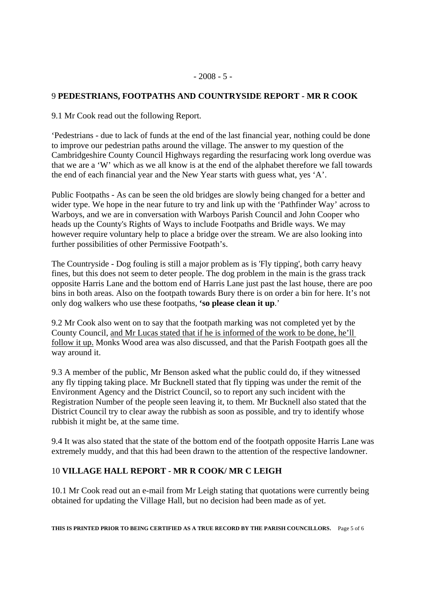## 9 **PEDESTRIANS, FOOTPATHS AND COUNTRYSIDE REPORT - MR R COOK**

9.1 Mr Cook read out the following Report.

'Pedestrians - due to lack of funds at the end of the last financial year, nothing could be done to improve our pedestrian paths around the village. The answer to my question of the Cambridgeshire County Council Highways regarding the resurfacing work long overdue was that we are a 'W' which as we all know is at the end of the alphabet therefore we fall towards the end of each financial year and the New Year starts with guess what, yes 'A'.

Public Footpaths - As can be seen the old bridges are slowly being changed for a better and wider type. We hope in the near future to try and link up with the 'Pathfinder Way' across to Warboys, and we are in conversation with Warboys Parish Council and John Cooper who heads up the County's Rights of Ways to include Footpaths and Bridle ways. We may however require voluntary help to place a bridge over the stream. We are also looking into further possibilities of other Permissive Footpath's.

The Countryside - Dog fouling is still a major problem as is 'Fly tipping', both carry heavy fines, but this does not seem to deter people. The dog problem in the main is the grass track opposite Harris Lane and the bottom end of Harris Lane just past the last house, there are poo bins in both areas. Also on the footpath towards Bury there is on order a bin for here. It's not only dog walkers who use these footpaths, **'so please clean it up**.'

9.2 Mr Cook also went on to say that the footpath marking was not completed yet by the County Council, and Mr Lucas stated that if he is informed of the work to be done, he'll follow it up. Monks Wood area was also discussed, and that the Parish Footpath goes all the way around it.

9.3 A member of the public, Mr Benson asked what the public could do, if they witnessed any fly tipping taking place. Mr Bucknell stated that fly tipping was under the remit of the Environment Agency and the District Council, so to report any such incident with the Registration Number of the people seen leaving it, to them. Mr Bucknell also stated that the District Council try to clear away the rubbish as soon as possible, and try to identify whose rubbish it might be, at the same time.

9.4 It was also stated that the state of the bottom end of the footpath opposite Harris Lane was extremely muddy, and that this had been drawn to the attention of the respective landowner.

## 10 **VILLAGE HALL REPORT - MR R COOK/ MR C LEIGH**

10.1 Mr Cook read out an e-mail from Mr Leigh stating that quotations were currently being obtained for updating the Village Hall, but no decision had been made as of yet.

**THIS IS PRINTED PRIOR TO BEING CERTIFIED AS A TRUE RECORD BY THE PARISH COUNCILLORS.** Page 5 of 6